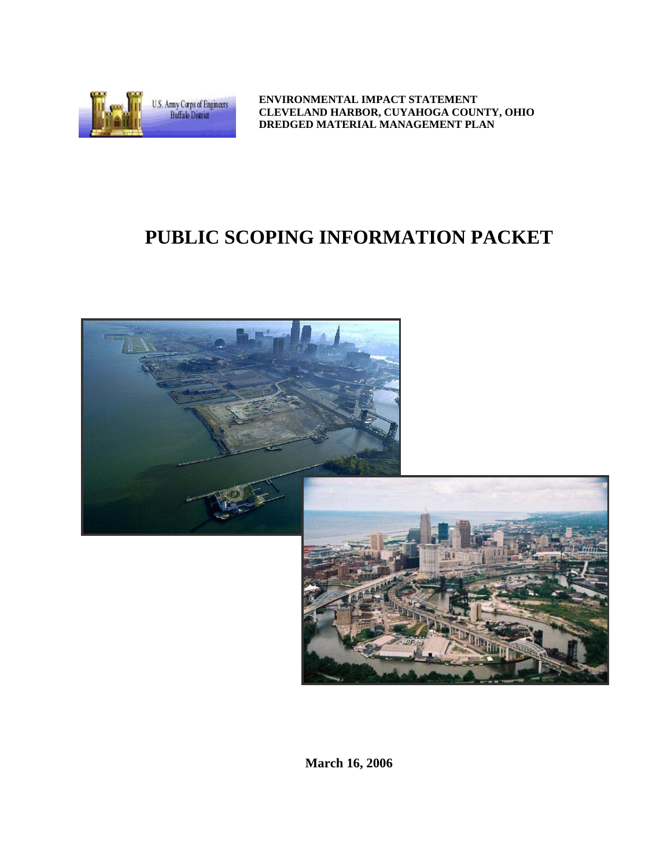

**ENVIRONMENTAL IMPACT STATEMENT CLEVELAND HARBOR, CUYAHOGA COUNTY, OHIO DREDGED MATERIAL MANAGEMENT PLAN** 

# **PUBLIC SCOPING INFORMATION PACKET**



**March 16, 2006**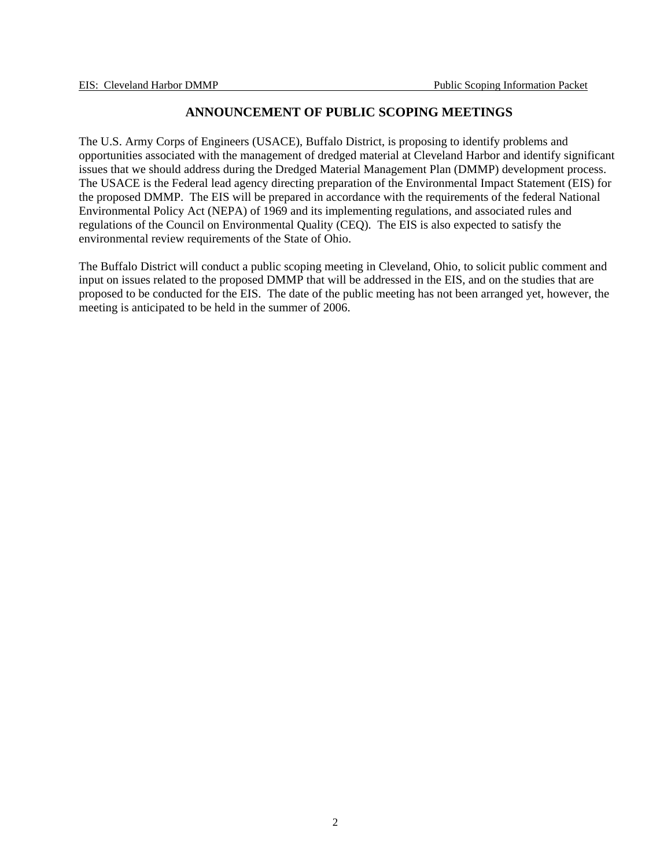# **ANNOUNCEMENT OF PUBLIC SCOPING MEETINGS**

The U.S. Army Corps of Engineers (USACE), Buffalo District, is proposing to identify problems and opportunities associated with the management of dredged material at Cleveland Harbor and identify significant issues that we should address during the Dredged Material Management Plan (DMMP) development process. The USACE is the Federal lead agency directing preparation of the Environmental Impact Statement (EIS) for the proposed DMMP. The EIS will be prepared in accordance with the requirements of the federal National Environmental Policy Act (NEPA) of 1969 and its implementing regulations, and associated rules and regulations of the Council on Environmental Quality (CEQ). The EIS is also expected to satisfy the environmental review requirements of the State of Ohio.

The Buffalo District will conduct a public scoping meeting in Cleveland, Ohio, to solicit public comment and input on issues related to the proposed DMMP that will be addressed in the EIS, and on the studies that are proposed to be conducted for the EIS. The date of the public meeting has not been arranged yet, however, the meeting is anticipated to be held in the summer of 2006.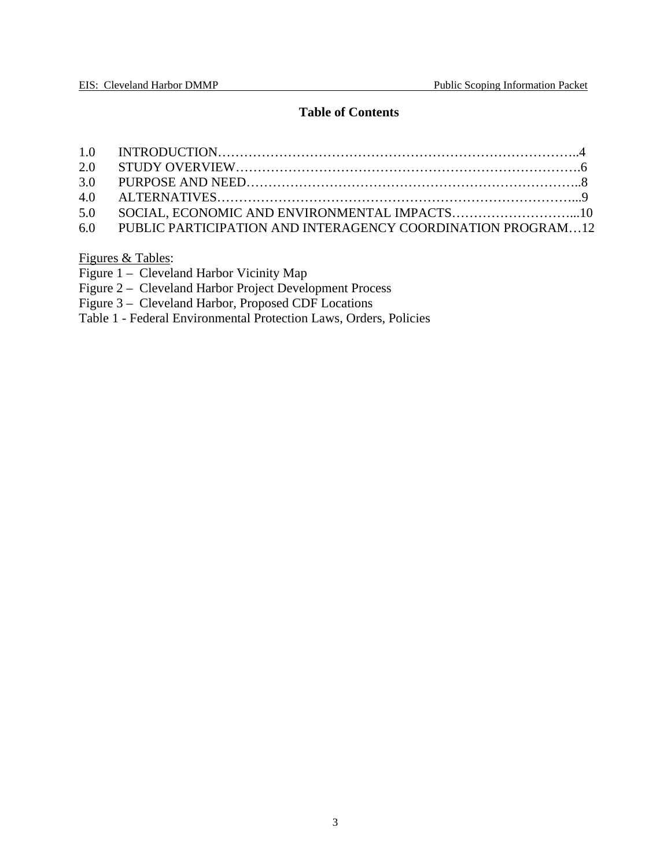# **Table of Contents**

| 6.0 PUBLIC PARTICIPATION AND INTERAGENCY COORDINATION PROGRAM12 |  |
|-----------------------------------------------------------------|--|

Figures & Tables:

|  |  |  | Figure 1 – Cleveland Harbor Vicinity Map |  |
|--|--|--|------------------------------------------|--|
|--|--|--|------------------------------------------|--|

Figure 2 – Cleveland Harbor Project Development Process

Figure 3 – Cleveland Harbor, Proposed CDF Locations

Table 1 - Federal Environmental Protection Laws, Orders, Policies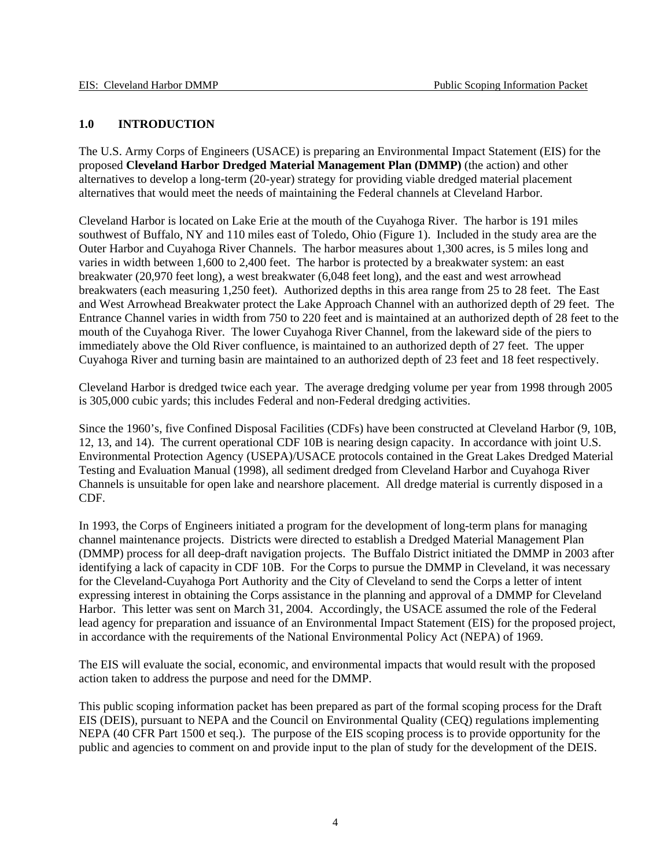## **1.0 INTRODUCTION**

The U.S. Army Corps of Engineers (USACE) is preparing an Environmental Impact Statement (EIS) for the proposed **Cleveland Harbor Dredged Material Management Plan (DMMP)** (the action) and other alternatives to develop a long-term (20-year) strategy for providing viable dredged material placement alternatives that would meet the needs of maintaining the Federal channels at Cleveland Harbor.

Cleveland Harbor is located on Lake Erie at the mouth of the Cuyahoga River. The harbor is 191 miles southwest of Buffalo, NY and 110 miles east of Toledo, Ohio (Figure 1). Included in the study area are the Outer Harbor and Cuyahoga River Channels. The harbor measures about 1,300 acres, is 5 miles long and varies in width between 1,600 to 2,400 feet. The harbor is protected by a breakwater system: an east breakwater (20,970 feet long), a west breakwater (6,048 feet long), and the east and west arrowhead breakwaters (each measuring 1,250 feet). Authorized depths in this area range from 25 to 28 feet. The East and West Arrowhead Breakwater protect the Lake Approach Channel with an authorized depth of 29 feet. The Entrance Channel varies in width from 750 to 220 feet and is maintained at an authorized depth of 28 feet to the mouth of the Cuyahoga River. The lower Cuyahoga River Channel, from the lakeward side of the piers to immediately above the Old River confluence, is maintained to an authorized depth of 27 feet. The upper Cuyahoga River and turning basin are maintained to an authorized depth of 23 feet and 18 feet respectively.

Cleveland Harbor is dredged twice each year. The average dredging volume per year from 1998 through 2005 is 305,000 cubic yards; this includes Federal and non-Federal dredging activities.

Since the 1960's, five Confined Disposal Facilities (CDFs) have been constructed at Cleveland Harbor (9, 10B, 12, 13, and 14). The current operational CDF 10B is nearing design capacity. In accordance with joint U.S. Environmental Protection Agency (USEPA)/USACE protocols contained in the Great Lakes Dredged Material Testing and Evaluation Manual (1998), all sediment dredged from Cleveland Harbor and Cuyahoga River Channels is unsuitable for open lake and nearshore placement. All dredge material is currently disposed in a CDF.

In 1993, the Corps of Engineers initiated a program for the development of long-term plans for managing channel maintenance projects. Districts were directed to establish a Dredged Material Management Plan (DMMP) process for all deep-draft navigation projects. The Buffalo District initiated the DMMP in 2003 after identifying a lack of capacity in CDF 10B. For the Corps to pursue the DMMP in Cleveland, it was necessary for the Cleveland-Cuyahoga Port Authority and the City of Cleveland to send the Corps a letter of intent expressing interest in obtaining the Corps assistance in the planning and approval of a DMMP for Cleveland Harbor. This letter was sent on March 31, 2004. Accordingly, the USACE assumed the role of the Federal lead agency for preparation and issuance of an Environmental Impact Statement (EIS) for the proposed project, in accordance with the requirements of the National Environmental Policy Act (NEPA) of 1969.

The EIS will evaluate the social, economic, and environmental impacts that would result with the proposed action taken to address the purpose and need for the DMMP.

This public scoping information packet has been prepared as part of the formal scoping process for the Draft EIS (DEIS), pursuant to NEPA and the Council on Environmental Quality (CEQ) regulations implementing NEPA (40 CFR Part 1500 et seq.). The purpose of the EIS scoping process is to provide opportunity for the public and agencies to comment on and provide input to the plan of study for the development of the DEIS.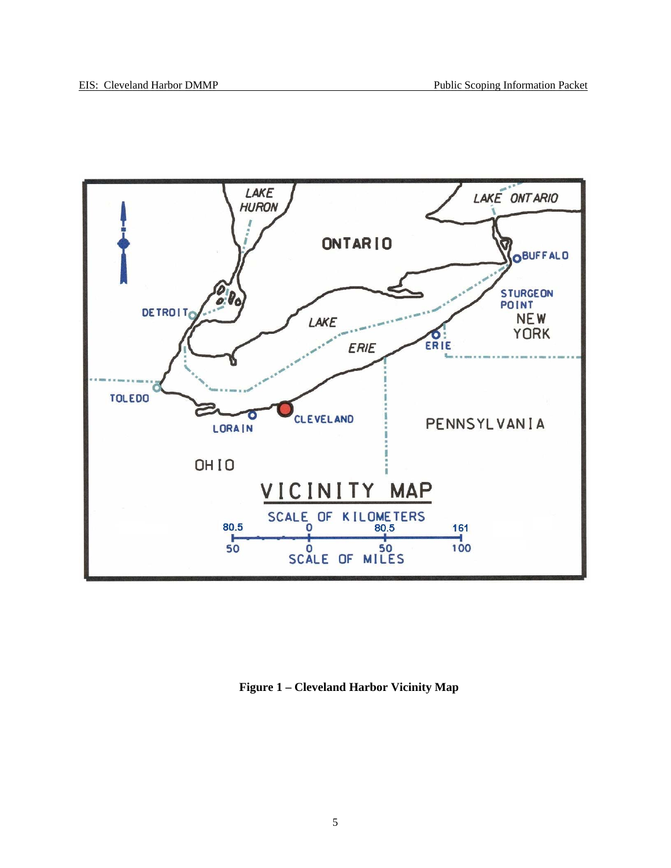

**Figure 1 – Cleveland Harbor Vicinity Map**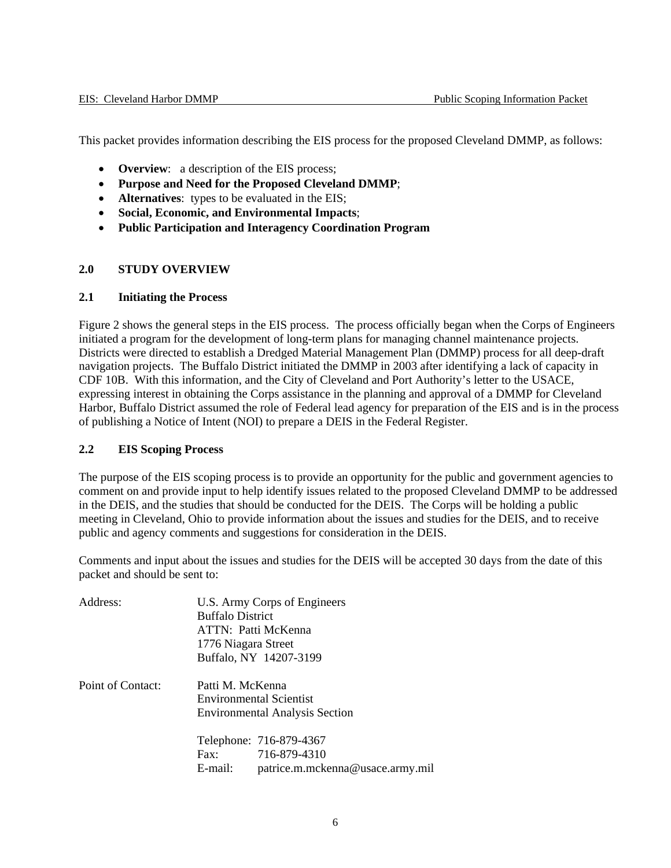This packet provides information describing the EIS process for the proposed Cleveland DMMP, as follows:

- **Overview**: a description of the EIS process;
- **Purpose and Need for the Proposed Cleveland DMMP**;
- **Alternatives**: types to be evaluated in the EIS;
- **Social, Economic, and Environmental Impacts**;
- **Public Participation and Interagency Coordination Program**

#### **2.0 STUDY OVERVIEW**

#### **2.1 Initiating the Process**

Figure 2 shows the general steps in the EIS process. The process officially began when the Corps of Engineers initiated a program for the development of long-term plans for managing channel maintenance projects. Districts were directed to establish a Dredged Material Management Plan (DMMP) process for all deep-draft navigation projects. The Buffalo District initiated the DMMP in 2003 after identifying a lack of capacity in CDF 10B. With this information, and the City of Cleveland and Port Authority's letter to the USACE, expressing interest in obtaining the Corps assistance in the planning and approval of a DMMP for Cleveland Harbor, Buffalo District assumed the role of Federal lead agency for preparation of the EIS and is in the process of publishing a Notice of Intent (NOI) to prepare a DEIS in the Federal Register.

#### **2.2 EIS Scoping Process**

The purpose of the EIS scoping process is to provide an opportunity for the public and government agencies to comment on and provide input to help identify issues related to the proposed Cleveland DMMP to be addressed in the DEIS, and the studies that should be conducted for the DEIS. The Corps will be holding a public meeting in Cleveland, Ohio to provide information about the issues and studies for the DEIS, and to receive public and agency comments and suggestions for consideration in the DEIS.

Comments and input about the issues and studies for the DEIS will be accepted 30 days from the date of this packet and should be sent to:

| Address:          | U.S. Army Corps of Engineers<br><b>Buffalo District</b> |                                       |  |  |
|-------------------|---------------------------------------------------------|---------------------------------------|--|--|
|                   |                                                         | ATTN: Patti McKenna                   |  |  |
|                   | 1776 Niagara Street                                     |                                       |  |  |
|                   |                                                         | Buffalo, NY 14207-3199                |  |  |
| Point of Contact: |                                                         | Patti M. McKenna                      |  |  |
|                   | Environmental Scientist                                 |                                       |  |  |
|                   |                                                         | <b>Environmental Analysis Section</b> |  |  |
|                   |                                                         | Telephone: 716-879-4367               |  |  |
|                   | $\text{Fax}:$                                           | 716-879-4310                          |  |  |
|                   | E-mail:                                                 | patrice.m.mckenna@usace.army.mil      |  |  |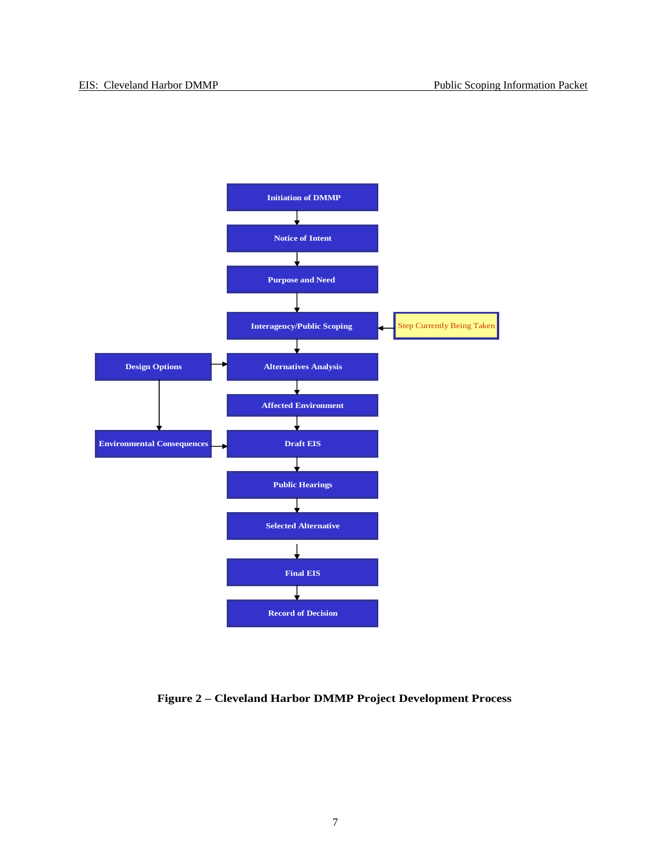

**Figure 2 – Cleveland Harbor DMMP Project Development Process**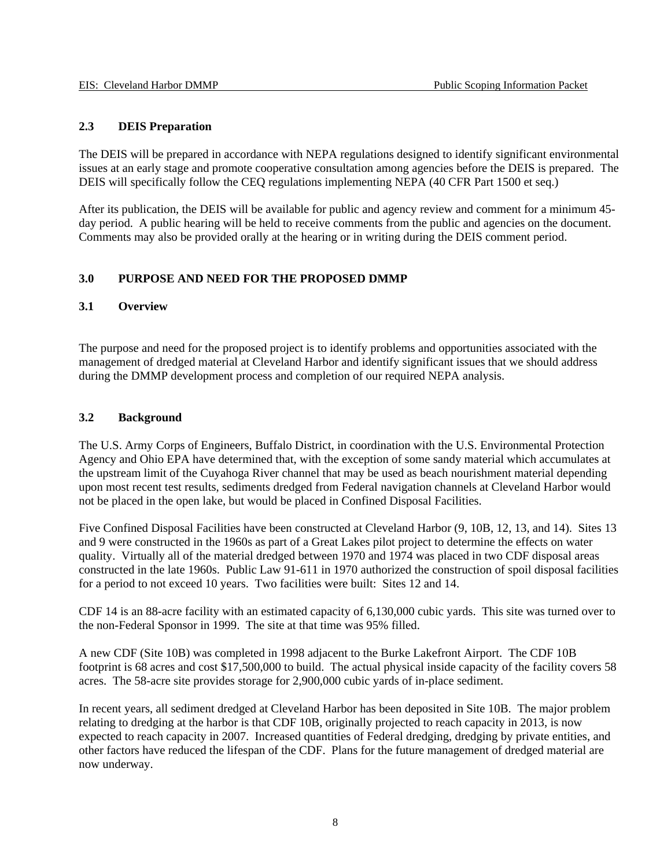### **2.3 DEIS Preparation**

The DEIS will be prepared in accordance with NEPA regulations designed to identify significant environmental issues at an early stage and promote cooperative consultation among agencies before the DEIS is prepared. The DEIS will specifically follow the CEQ regulations implementing NEPA (40 CFR Part 1500 et seq.)

After its publication, the DEIS will be available for public and agency review and comment for a minimum 45 day period. A public hearing will be held to receive comments from the public and agencies on the document. Comments may also be provided orally at the hearing or in writing during the DEIS comment period.

### **3.0 PURPOSE AND NEED FOR THE PROPOSED DMMP**

#### **3.1 Overview**

The purpose and need for the proposed project is to identify problems and opportunities associated with the management of dredged material at Cleveland Harbor and identify significant issues that we should address during the DMMP development process and completion of our required NEPA analysis.

### **3.2 Background**

The U.S. Army Corps of Engineers, Buffalo District, in coordination with the U.S. Environmental Protection Agency and Ohio EPA have determined that, with the exception of some sandy material which accumulates at the upstream limit of the Cuyahoga River channel that may be used as beach nourishment material depending upon most recent test results, sediments dredged from Federal navigation channels at Cleveland Harbor would not be placed in the open lake, but would be placed in Confined Disposal Facilities.

Five Confined Disposal Facilities have been constructed at Cleveland Harbor (9, 10B, 12, 13, and 14). Sites 13 and 9 were constructed in the 1960s as part of a Great Lakes pilot project to determine the effects on water quality. Virtually all of the material dredged between 1970 and 1974 was placed in two CDF disposal areas constructed in the late 1960s. Public Law 91-611 in 1970 authorized the construction of spoil disposal facilities for a period to not exceed 10 years. Two facilities were built: Sites 12 and 14.

CDF 14 is an 88-acre facility with an estimated capacity of 6,130,000 cubic yards. This site was turned over to the non-Federal Sponsor in 1999. The site at that time was 95% filled.

A new CDF (Site 10B) was completed in 1998 adjacent to the Burke Lakefront Airport. The CDF 10B footprint is 68 acres and cost \$17,500,000 to build. The actual physical inside capacity of the facility covers 58 acres. The 58-acre site provides storage for 2,900,000 cubic yards of in-place sediment.

In recent years, all sediment dredged at Cleveland Harbor has been deposited in Site 10B. The major problem relating to dredging at the harbor is that CDF 10B, originally projected to reach capacity in 2013, is now expected to reach capacity in 2007. Increased quantities of Federal dredging, dredging by private entities, and other factors have reduced the lifespan of the CDF. Plans for the future management of dredged material are now underway.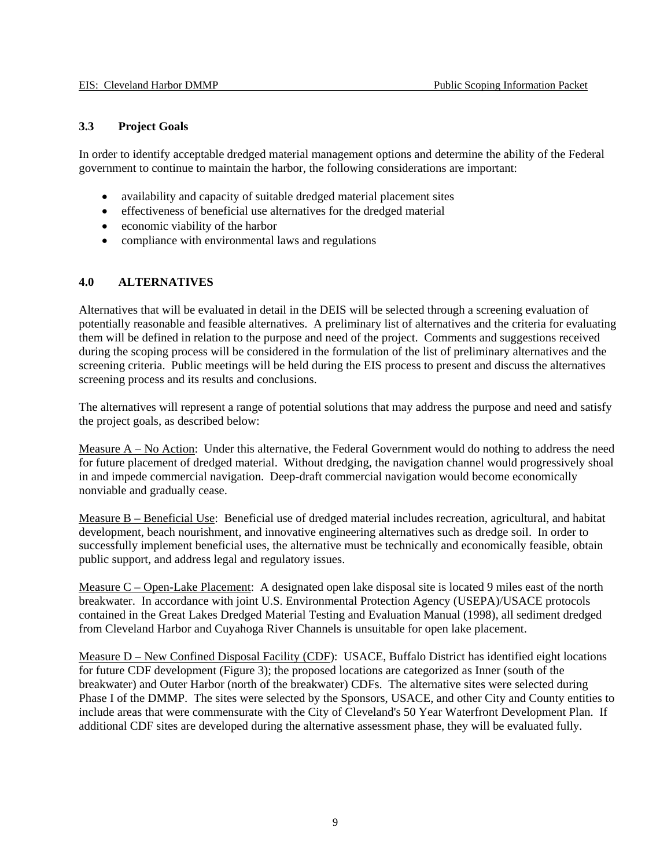#### **3.3 Project Goals**

In order to identify acceptable dredged material management options and determine the ability of the Federal government to continue to maintain the harbor, the following considerations are important:

- availability and capacity of suitable dredged material placement sites
- effectiveness of beneficial use alternatives for the dredged material
- economic viability of the harbor
- compliance with environmental laws and regulations

#### **4.0 ALTERNATIVES**

Alternatives that will be evaluated in detail in the DEIS will be selected through a screening evaluation of potentially reasonable and feasible alternatives. A preliminary list of alternatives and the criteria for evaluating them will be defined in relation to the purpose and need of the project. Comments and suggestions received during the scoping process will be considered in the formulation of the list of preliminary alternatives and the screening criteria. Public meetings will be held during the EIS process to present and discuss the alternatives screening process and its results and conclusions.

The alternatives will represent a range of potential solutions that may address the purpose and need and satisfy the project goals, as described below:

Measure A – No Action: Under this alternative, the Federal Government would do nothing to address the need for future placement of dredged material. Without dredging, the navigation channel would progressively shoal in and impede commercial navigation. Deep-draft commercial navigation would become economically nonviable and gradually cease.

Measure B – Beneficial Use: Beneficial use of dredged material includes recreation, agricultural, and habitat development, beach nourishment, and innovative engineering alternatives such as dredge soil. In order to successfully implement beneficial uses, the alternative must be technically and economically feasible, obtain public support, and address legal and regulatory issues.

Measure C – Open-Lake Placement: A designated open lake disposal site is located 9 miles east of the north breakwater. In accordance with joint U.S. Environmental Protection Agency (USEPA)/USACE protocols contained in the Great Lakes Dredged Material Testing and Evaluation Manual (1998), all sediment dredged from Cleveland Harbor and Cuyahoga River Channels is unsuitable for open lake placement.

Measure D – New Confined Disposal Facility (CDF): USACE, Buffalo District has identified eight locations for future CDF development (Figure 3); the proposed locations are categorized as Inner (south of the breakwater) and Outer Harbor (north of the breakwater) CDFs. The alternative sites were selected during Phase I of the DMMP. The sites were selected by the Sponsors, USACE, and other City and County entities to include areas that were commensurate with the City of Cleveland's 50 Year Waterfront Development Plan. If additional CDF sites are developed during the alternative assessment phase, they will be evaluated fully.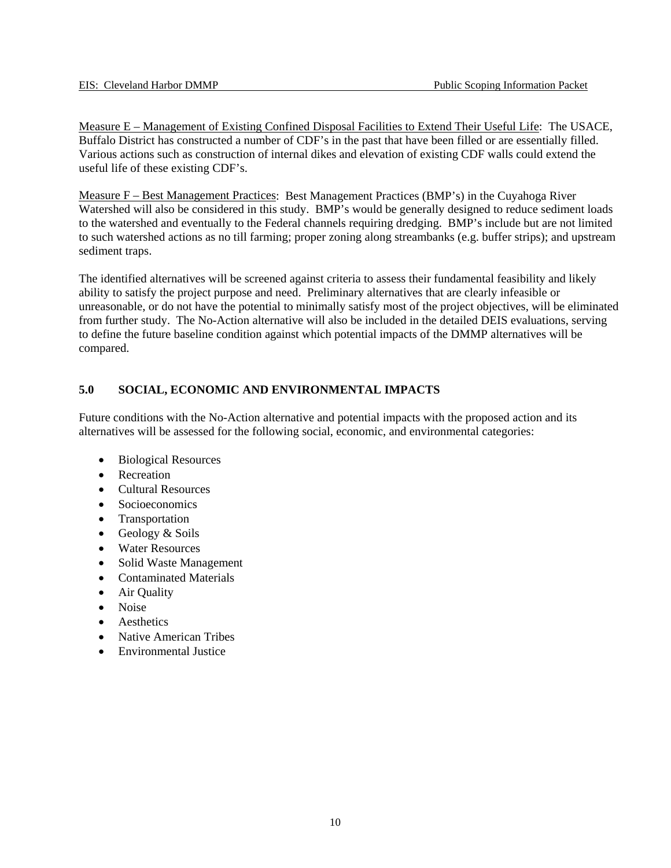Measure E – Management of Existing Confined Disposal Facilities to Extend Their Useful Life: The USACE, Buffalo District has constructed a number of CDF's in the past that have been filled or are essentially filled. Various actions such as construction of internal dikes and elevation of existing CDF walls could extend the useful life of these existing CDF's.

Measure F – Best Management Practices: Best Management Practices (BMP's) in the Cuyahoga River Watershed will also be considered in this study. BMP's would be generally designed to reduce sediment loads to the watershed and eventually to the Federal channels requiring dredging. BMP's include but are not limited to such watershed actions as no till farming; proper zoning along streambanks (e.g. buffer strips); and upstream sediment traps.

The identified alternatives will be screened against criteria to assess their fundamental feasibility and likely ability to satisfy the project purpose and need. Preliminary alternatives that are clearly infeasible or unreasonable, or do not have the potential to minimally satisfy most of the project objectives, will be eliminated from further study. The No-Action alternative will also be included in the detailed DEIS evaluations, serving to define the future baseline condition against which potential impacts of the DMMP alternatives will be compared.

# **5.0 SOCIAL, ECONOMIC AND ENVIRONMENTAL IMPACTS**

Future conditions with the No-Action alternative and potential impacts with the proposed action and its alternatives will be assessed for the following social, economic, and environmental categories:

- Biological Resources
- Recreation
- Cultural Resources
- Socioeconomics
- Transportation
- Geology & Soils
- Water Resources
- Solid Waste Management
- Contaminated Materials
- Air Quality
- Noise
- Aesthetics
- Native American Tribes
- Environmental Justice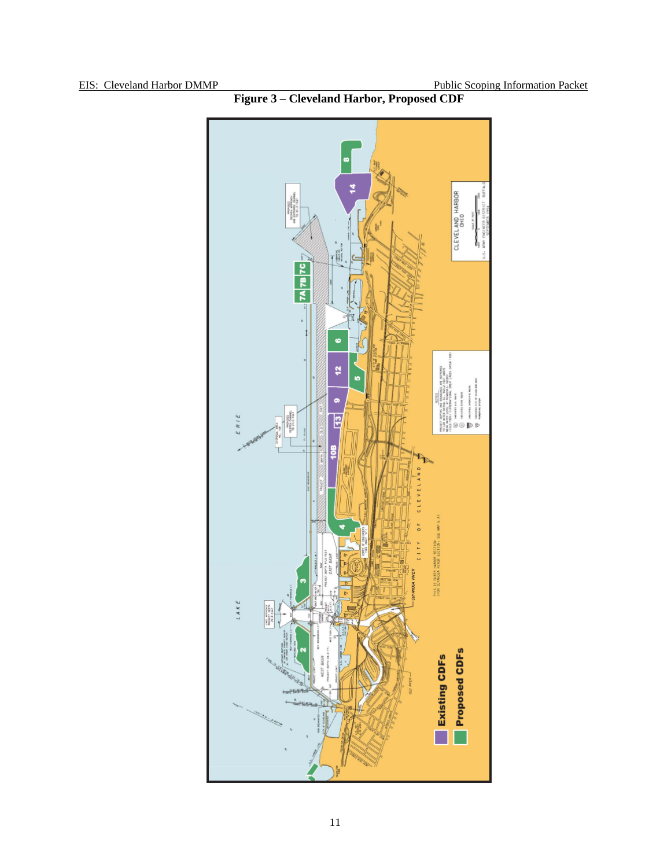

**Figure 3 – Cleveland Harbor, Proposed CDF**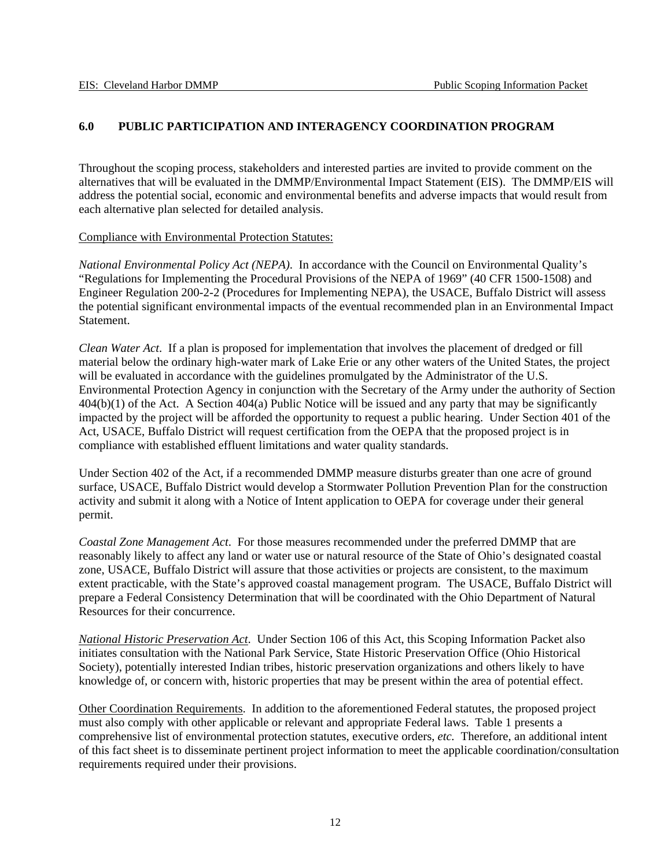# **6.0 PUBLIC PARTICIPATION AND INTERAGENCY COORDINATION PROGRAM**

Throughout the scoping process, stakeholders and interested parties are invited to provide comment on the alternatives that will be evaluated in the DMMP/Environmental Impact Statement (EIS). The DMMP/EIS will address the potential social, economic and environmental benefits and adverse impacts that would result from each alternative plan selected for detailed analysis.

Compliance with Environmental Protection Statutes:

*National Environmental Policy Act (NEPA)*. In accordance with the Council on Environmental Quality's "Regulations for Implementing the Procedural Provisions of the NEPA of 1969" (40 CFR 1500-1508) and Engineer Regulation 200-2-2 (Procedures for Implementing NEPA), the USACE, Buffalo District will assess the potential significant environmental impacts of the eventual recommended plan in an Environmental Impact Statement.

*Clean Water Act*. If a plan is proposed for implementation that involves the placement of dredged or fill material below the ordinary high-water mark of Lake Erie or any other waters of the United States, the project will be evaluated in accordance with the guidelines promulgated by the Administrator of the U.S. Environmental Protection Agency in conjunction with the Secretary of the Army under the authority of Section 404(b)(1) of the Act. A Section 404(a) Public Notice will be issued and any party that may be significantly impacted by the project will be afforded the opportunity to request a public hearing. Under Section 401 of the Act, USACE, Buffalo District will request certification from the OEPA that the proposed project is in compliance with established effluent limitations and water quality standards.

Under Section 402 of the Act, if a recommended DMMP measure disturbs greater than one acre of ground surface, USACE, Buffalo District would develop a Stormwater Pollution Prevention Plan for the construction activity and submit it along with a Notice of Intent application to OEPA for coverage under their general permit.

*Coastal Zone Management Act*. For those measures recommended under the preferred DMMP that are reasonably likely to affect any land or water use or natural resource of the State of Ohio's designated coastal zone, USACE, Buffalo District will assure that those activities or projects are consistent, to the maximum extent practicable, with the State's approved coastal management program. The USACE, Buffalo District will prepare a Federal Consistency Determination that will be coordinated with the Ohio Department of Natural Resources for their concurrence.

*National Historic Preservation Act*. Under Section 106 of this Act, this Scoping Information Packet also initiates consultation with the National Park Service, State Historic Preservation Office (Ohio Historical Society), potentially interested Indian tribes, historic preservation organizations and others likely to have knowledge of, or concern with, historic properties that may be present within the area of potential effect.

Other Coordination Requirements. In addition to the aforementioned Federal statutes, the proposed project must also comply with other applicable or relevant and appropriate Federal laws. Table 1 presents a comprehensive list of environmental protection statutes, executive orders, *etc.* Therefore, an additional intent of this fact sheet is to disseminate pertinent project information to meet the applicable coordination/consultation requirements required under their provisions.